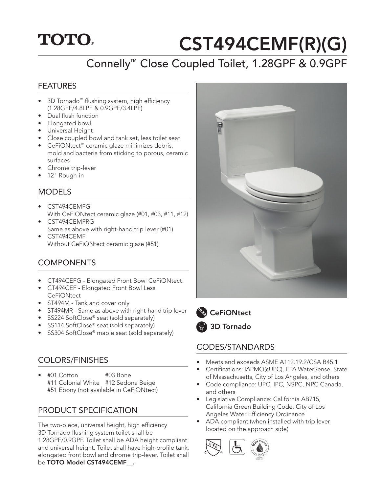## **TOTO.**

# CST494CEMF(R)(G)

## Connelly™ Close Coupled Toilet, 1.28GPF & 0.9GPF

#### FEATURES

- 3D Tornado™ flushing system, high efficiency (1.28GPF/4.8LPF & 0.9GPF/3.4LPF)
- Dual flush function
- Elongated bowl
- Universal Height
- Close coupled bowl and tank set, less toilet seat
- CeFiONtect™ ceramic glaze minimizes debris, mold and bacteria from sticking to porous, ceramic surfaces
- Chrome trip-lever
- 12" Rough-in

#### MODELS

- CST494CEMFG With CeFiONtect ceramic glaze (#01, #03, #11, #12)
- CST494CEMFRG Same as above with right-hand trip lever (#01)
- CST494CEMF Without CeFiONtect ceramic glaze (#51)

#### COMPONENTS

- CT494CEFG Elongated Front Bowl CeFiONtect
- CT494CEF Elongated Front Bowl Less **CeFiONtect**
- ST494M Tank and cover only
- ST494MR Same as above with right-hand trip lever
- SS224 SoftClose® seat (sold separately)
- SS114 SoftClose® seat (sold separately)
- SS304 SoftClose<sup>®</sup> maple seat (sold separately)

#### COLORS/FINISHES

• #01 Cotton #03 Bone #11 Colonial White #12 Sedona Beige #51 Ebony (not available in CeFiONtect)

#### PRODUCT SPECIFICATION

The two-piece, universal height, high efficiency 3D Tornado flushing system toilet shall be 1.28GPF/0.9GPF. Toilet shall be ADA height compliant and universal height. Toilet shall have high-profile tank, elongated front bowl and chrome trip-lever. Toilet shall be TOTO Model CST494CEMF.





**CeFiONtect** 

3D Tornado

#### CODES/STANDARDS

- Meets and exceeds ASME A112.19.2/CSA B45.1
- Certifications: IAPMO(cUPC), EPA WaterSense, State of Massachusetts, City of Los Angeles, and others
- Code compliance: UPC, IPC, NSPC, NPC Canada, and others
- Legislative Compliance: California AB715, California Green Building Code, City of Los Angeles Water Efficiency Ordinance
- ADA compliant (when installed with trip lever located on the approach side)